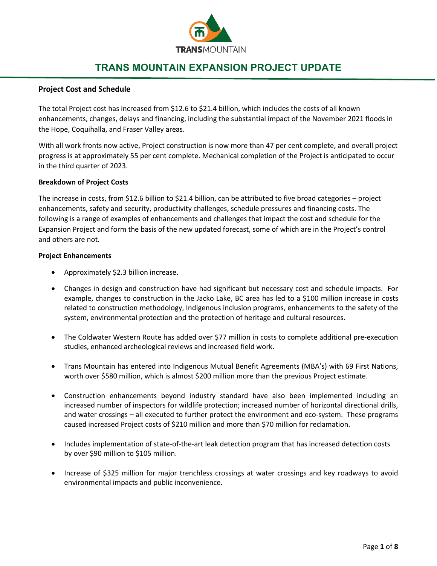

# **TRANS MOUNTAIN EXPANSION PROJECT UPDATE**

## **Project Cost and Schedule**

The total Project cost has increased from \$12.6 to \$21.4 billion, which includes the costs of all known enhancements, changes, delays and financing, including the substantial impact of the November 2021 floods in the Hope, Coquihalla, and Fraser Valley areas.

With all work fronts now active, Project construction is now more than 47 per cent complete, and overall project progress is at approximately 55 per cent complete. Mechanical completion of the Project is anticipated to occur in the third quarter of 2023.

#### **Breakdown of Project Costs**

The increase in costs, from \$12.6 billion to \$21.4 billion, can be attributed to five broad categories – project enhancements, safety and security, productivity challenges, schedule pressures and financing costs. The following is a range of examples of enhancements and challenges that impact the cost and schedule for the Expansion Project and form the basis of the new updated forecast, some of which are in the Project's control and others are not.

#### **Project Enhancements**

- Approximately \$2.3 billion increase.
- Changes in design and construction have had significant but necessary cost and schedule impacts. For example, changes to construction in the Jacko Lake, BC area has led to a \$100 million increase in costs related to construction methodology, Indigenous inclusion programs, enhancements to the safety of the system, environmental protection and the protection of heritage and cultural resources.
- The Coldwater Western Route has added over \$77 million in costs to complete additional pre-execution studies, enhanced archeological reviews and increased field work.
- Trans Mountain has entered into Indigenous Mutual Benefit Agreements (MBA's) with 69 First Nations, worth over \$580 million, which is almost \$200 million more than the previous Project estimate.
- Construction enhancements beyond industry standard have also been implemented including an increased number of inspectors for wildlife protection; increased number of horizontal directional drills, and water crossings – all executed to further protect the environment and eco-system. These programs caused increased Project costs of \$210 million and more than \$70 million for reclamation.
- Includes implementation of state-of-the-art leak detection program that has increased detection costs by over \$90 million to \$105 million.
- Increase of \$325 million for major trenchless crossings at water crossings and key roadways to avoid environmental impacts and public inconvenience.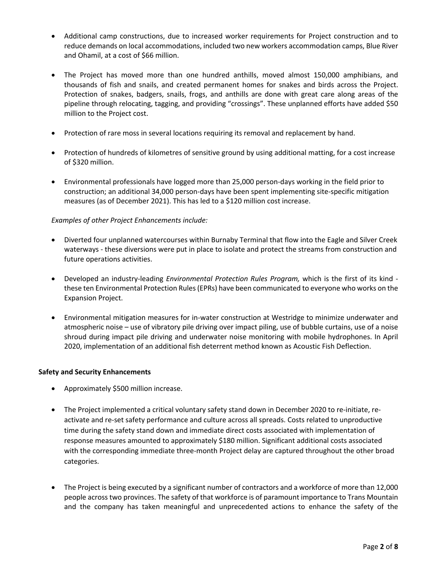- Additional camp constructions, due to increased worker requirements for Project construction and to reduce demands on local accommodations, included two new workers accommodation camps, Blue River and Ohamil, at a cost of \$66 million.
- The Project has moved more than one hundred anthills, moved almost 150,000 amphibians, and thousands of fish and snails, and created permanent homes for snakes and birds across the Project. Protection of snakes, badgers, snails, frogs, and anthills are done with great care along areas of the pipeline through relocating, tagging, and providing "crossings". These unplanned efforts have added \$50 million to the Project cost.
- Protection of rare moss in several locations requiring its removal and replacement by hand.
- Protection of hundreds of kilometres of sensitive ground by using additional matting, for a cost increase of \$320 million.
- Environmental professionals have logged more than 25,000 person-days working in the field prior to construction; an additional 34,000 person-days have been spent implementing site-specific mitigation measures (as of December 2021). This has led to a \$120 million cost increase.

## *Examples of other Project Enhancements include:*

- Diverted four unplanned watercourses within Burnaby Terminal that flow into the Eagle and Silver Creek waterways - these diversions were put in place to isolate and protect the streams from construction and future operations activities.
- Developed an industry-leading *Environmental Protection Rules Program,* which is the first of its kind these ten Environmental Protection Rules (EPRs) have been communicated to everyone who works on the Expansion Project.
- Environmental mitigation measures for in-water construction at Westridge to minimize underwater and atmospheric noise – use of vibratory pile driving over impact piling, use of bubble curtains, use of a noise shroud during impact pile driving and underwater noise monitoring with mobile hydrophones. In April 2020, implementation of an additional fish deterrent method known as Acoustic Fish Deflection.

#### **Safety and Security Enhancements**

- Approximately \$500 million increase.
- The Project implemented a critical voluntary safety stand down in December 2020 to re-initiate, reactivate and re-set safety performance and culture across all spreads. Costs related to unproductive time during the safety stand down and immediate direct costs associated with implementation of response measures amounted to approximately \$180 million. Significant additional costs associated with the corresponding immediate three-month Project delay are captured throughout the other broad categories.
- The Project is being executed by a significant number of contractors and a workforce of more than 12,000 people across two provinces. The safety of that workforce is of paramount importance to Trans Mountain and the company has taken meaningful and unprecedented actions to enhance the safety of the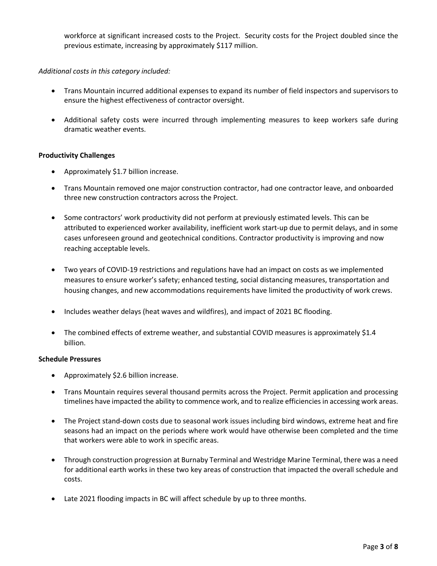workforce at significant increased costs to the Project. Security costs for the Project doubled since the previous estimate, increasing by approximately \$117 million.

## *Additional costs in this category included:*

- Trans Mountain incurred additional expenses to expand its number of field inspectors and supervisors to ensure the highest effectiveness of contractor oversight.
- Additional safety costs were incurred through implementing measures to keep workers safe during dramatic weather events.

## **Productivity Challenges**

- Approximately \$1.7 billion increase.
- Trans Mountain removed one major construction contractor, had one contractor leave, and onboarded three new construction contractors across the Project.
- Some contractors' work productivity did not perform at previously estimated levels. This can be attributed to experienced worker availability, inefficient work start-up due to permit delays, and in some cases unforeseen ground and geotechnical conditions. Contractor productivity is improving and now reaching acceptable levels.
- Two years of COVID-19 restrictions and regulations have had an impact on costs as we implemented measures to ensure worker's safety; enhanced testing, social distancing measures, transportation and housing changes, and new accommodations requirements have limited the productivity of work crews.
- Includes weather delays (heat waves and wildfires), and impact of 2021 BC flooding.
- The combined effects of extreme weather, and substantial COVID measures is approximately \$1.4 billion.

#### **Schedule Pressures**

- Approximately \$2.6 billion increase.
- Trans Mountain requires several thousand permits across the Project. Permit application and processing timelines have impacted the ability to commence work, and to realize efficiencies in accessing work areas.
- The Project stand-down costs due to seasonal work issues including bird windows, extreme heat and fire seasons had an impact on the periods where work would have otherwise been completed and the time that workers were able to work in specific areas.
- Through construction progression at Burnaby Terminal and Westridge Marine Terminal, there was a need for additional earth works in these two key areas of construction that impacted the overall schedule and costs.
- Late 2021 flooding impacts in BC will affect schedule by up to three months.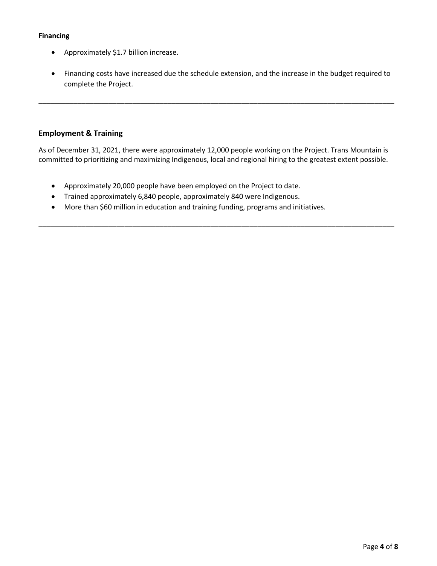# **Financing**

- Approximately \$1.7 billion increase.
- Financing costs have increased due the schedule extension, and the increase in the budget required to complete the Project.

\_\_\_\_\_\_\_\_\_\_\_\_\_\_\_\_\_\_\_\_\_\_\_\_\_\_\_\_\_\_\_\_\_\_\_\_\_\_\_\_\_\_\_\_\_\_\_\_\_\_\_\_\_\_\_\_\_\_\_\_\_\_\_\_\_\_\_\_\_\_\_\_\_\_\_\_\_\_\_\_\_\_\_\_\_\_\_\_\_\_\_

# **Employment & Training**

As of December 31, 2021, there were approximately 12,000 people working on the Project. Trans Mountain is committed to prioritizing and maximizing Indigenous, local and regional hiring to the greatest extent possible.

\_\_\_\_\_\_\_\_\_\_\_\_\_\_\_\_\_\_\_\_\_\_\_\_\_\_\_\_\_\_\_\_\_\_\_\_\_\_\_\_\_\_\_\_\_\_\_\_\_\_\_\_\_\_\_\_\_\_\_\_\_\_\_\_\_\_\_\_\_\_\_\_\_\_\_\_\_\_\_\_\_\_\_\_\_\_\_\_\_\_\_

- Approximately 20,000 people have been employed on the Project to date.
- Trained approximately 6,840 people, approximately 840 were Indigenous.
- More than \$60 million in education and training funding, programs and initiatives.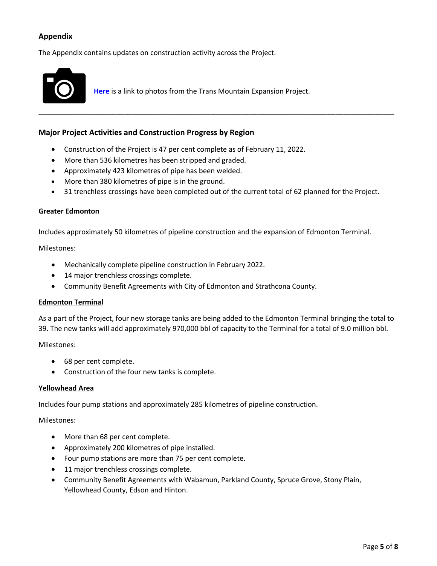# **Appendix**

The Appendix contains updates on construction activity across the Project.



**Here** is a link to photos from the Trans Mountain Expansion Project.

#### **Major Project Activities and Construction Progress by Region**

- Construction of the Project is 47 per cent complete as of February 11, 2022.
- More than 536 kilometres has been stripped and graded.
- Approximately 423 kilometres of pipe has been welded.
- More than 380 kilometres of pipe is in the ground.
- 31 trenchless crossings have been completed out of the current total of 62 planned for the Project.

\_\_\_\_\_\_\_\_\_\_\_\_\_\_\_\_\_\_\_\_\_\_\_\_\_\_\_\_\_\_\_\_\_\_\_\_\_\_\_\_\_\_\_\_\_\_\_\_\_\_\_\_\_\_\_\_\_\_\_\_\_\_\_\_\_\_\_\_\_\_\_\_\_\_\_\_\_\_\_\_\_\_\_\_\_\_\_\_\_\_\_

#### **Greater Edmonton**

Includes approximately 50 kilometres of pipeline construction and the expansion of Edmonton Terminal.

Milestones:

- Mechanically complete pipeline construction in February 2022.
- 14 major trenchless crossings complete.
- Community Benefit Agreements with City of Edmonton and Strathcona County.

#### **Edmonton Terminal**

As a part of the Project, four new storage tanks are being added to the Edmonton Terminal bringing the total to 39. The new tanks will add approximately 970,000 bbl of capacity to the Terminal for a total of 9.0 million bbl.

Milestones:

- 68 per cent complete.
- Construction of the four new tanks is complete.

#### **Yellowhead Area**

Includes four pump stations and approximately 285 kilometres of pipeline construction.

Milestones:

- More than 68 per cent complete.
- Approximately 200 kilometres of pipe installed.
- Four pump stations are more than 75 per cent complete.
- 11 major trenchless crossings complete.
- Community Benefit Agreements with Wabamun, Parkland County, Spruce Grove, Stony Plain, Yellowhead County, Edson and Hinton.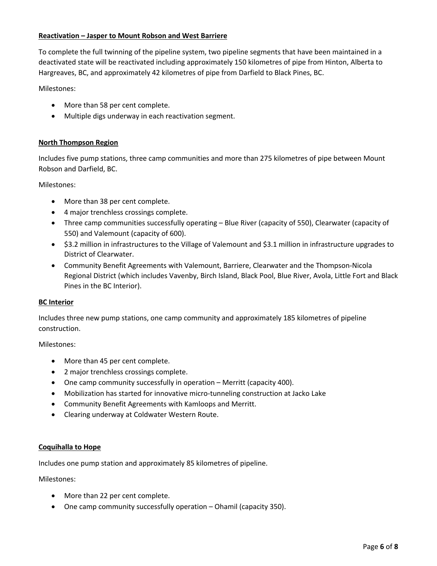## **Reactivation – Jasper to Mount Robson and West Barriere**

To complete the full twinning of the pipeline system, two pipeline segments that have been maintained in a deactivated state will be reactivated including approximately 150 kilometres of pipe from Hinton, Alberta to Hargreaves, BC, and approximately 42 kilometres of pipe from Darfield to Black Pines, BC.

Milestones:

- More than 58 per cent complete.
- Multiple digs underway in each reactivation segment.

## **North Thompson Region**

Includes five pump stations, three camp communities and more than 275 kilometres of pipe between Mount Robson and Darfield, BC.

Milestones:

- More than 38 per cent complete.
- 4 major trenchless crossings complete.
- Three camp communities successfully operating Blue River (capacity of 550), Clearwater (capacity of 550) and Valemount (capacity of 600).
- \$3.2 million in infrastructures to the Village of Valemount and \$3.1 million in infrastructure upgrades to District of Clearwater.
- Community Benefit Agreements with Valemount, Barriere, Clearwater and the Thompson-Nicola Regional District (which includes Vavenby, Birch Island, Black Pool, Blue River, Avola, Little Fort and Black Pines in the BC Interior).

#### **BC Interior**

Includes three new pump stations, one camp community and approximately 185 kilometres of pipeline construction.

Milestones:

- More than 45 per cent complete.
- 2 major trenchless crossings complete.
- One camp community successfully in operation Merritt (capacity 400).
- Mobilization has started for innovative micro-tunneling construction at Jacko Lake
- Community Benefit Agreements with Kamloops and Merritt.
- Clearing underway at Coldwater Western Route.

#### **Coquihalla to Hope**

Includes one pump station and approximately 85 kilometres of pipeline.

Milestones:

- More than 22 per cent complete.
- One camp community successfully operation Ohamil (capacity 350).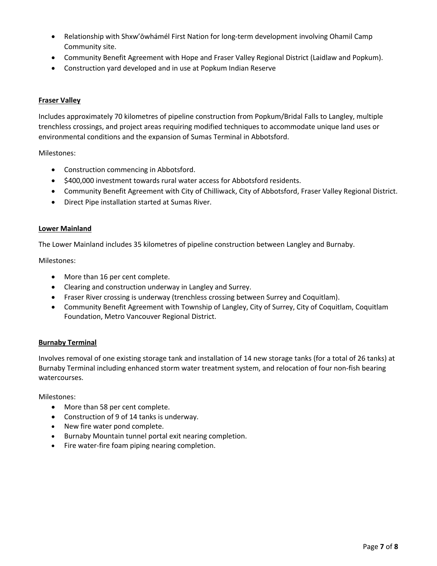- Relationship with Shxw'ōwhámél First Nation for long-term development involving Ohamil Camp Community site.
- Community Benefit Agreement with Hope and Fraser Valley Regional District (Laidlaw and Popkum).
- Construction yard developed and in use at Popkum Indian Reserve

# **Fraser Valley**

Includes approximately 70 kilometres of pipeline construction from Popkum/Bridal Falls to Langley, multiple trenchless crossings, and project areas requiring modified techniques to accommodate unique land uses or environmental conditions and the expansion of Sumas Terminal in Abbotsford.

Milestones:

- Construction commencing in Abbotsford.
- \$400,000 investment towards rural water access for Abbotsford residents.
- Community Benefit Agreement with City of Chilliwack, City of Abbotsford, Fraser Valley Regional District.
- Direct Pipe installation started at Sumas River.

#### **Lower Mainland**

The Lower Mainland includes 35 kilometres of pipeline construction between Langley and Burnaby.

Milestones:

- More than 16 per cent complete.
- Clearing and construction underway in Langley and Surrey.
- Fraser River crossing is underway (trenchless crossing between Surrey and Coquitlam).
- Community Benefit Agreement with Township of Langley, City of Surrey, City of Coquitlam, Coquitlam Foundation, Metro Vancouver Regional District.

## **Burnaby Terminal**

Involves removal of one existing storage tank and installation of 14 new storage tanks (for a total of 26 tanks) at Burnaby Terminal including enhanced storm water treatment system, and relocation of four non-fish bearing watercourses.

Milestones:

- More than 58 per cent complete.
- Construction of 9 of 14 tanks is underway.
- New fire water pond complete.
- Burnaby Mountain tunnel portal exit nearing completion.
- Fire water-fire foam piping nearing completion.